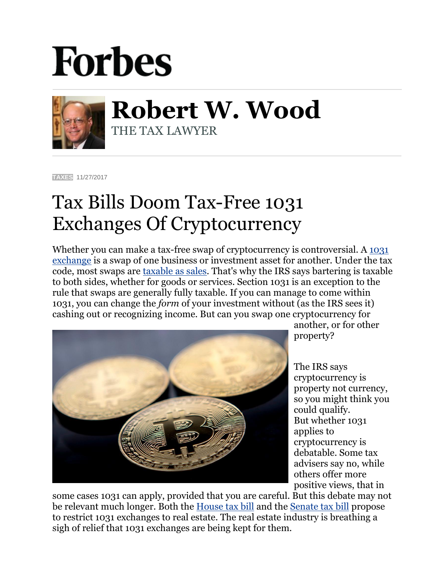## **Forbes**



**Robert W. Wood** THE TAX LAWYER

**[TAXES](https://www.forbes.com/taxes)** 11/27/2017

## Tax Bills Doom Tax-Free 1031 Exchanges Of Cryptocurrency

Whether you can make a tax-free swap of cryptocurrency is controversial. A 1031 [exchange](https://www.irs.gov/newsroom/like-kind-exchanges-under-irc-code-section-1031) is a swap of one business or investment asset for another. Under the tax code, most swaps are [taxable as sales.](http://www.forbes.com/2009/11/11/irs-tax-barter-exchange-income-personal-finance-wood.html) That's why the IRS says bartering is taxable to both sides, whether for goods or services. Section 1031 is an exception to the rule that swaps are generally fully taxable. If you can manage to come within 1031, you can change the *form* of your investment without (as the IRS sees it) cashing out or recognizing income. But can you swap one cryptocurrency for



another, or for other property?

The IRS says cryptocurrency is property not currency, so you might think you could qualify. But whether 1031 applies to cryptocurrency is debatable. Some tax advisers say no, while others offer more positive views, that in

some cases 1031 can apply, provided that you are careful. But this debate may not be relevant much longer. Both the **[House tax bill](https://www.congress.gov/bill/115th-congress/house-bill/1/text)** and the **[Senate tax bill](https://www.finance.senate.gov/imo/media/doc/11.14.17%20Chairman)** propose to restrict 1031 exchanges to real estate. The real estate industry is breathing a sigh of relief that 1031 exchanges are being kept for them.